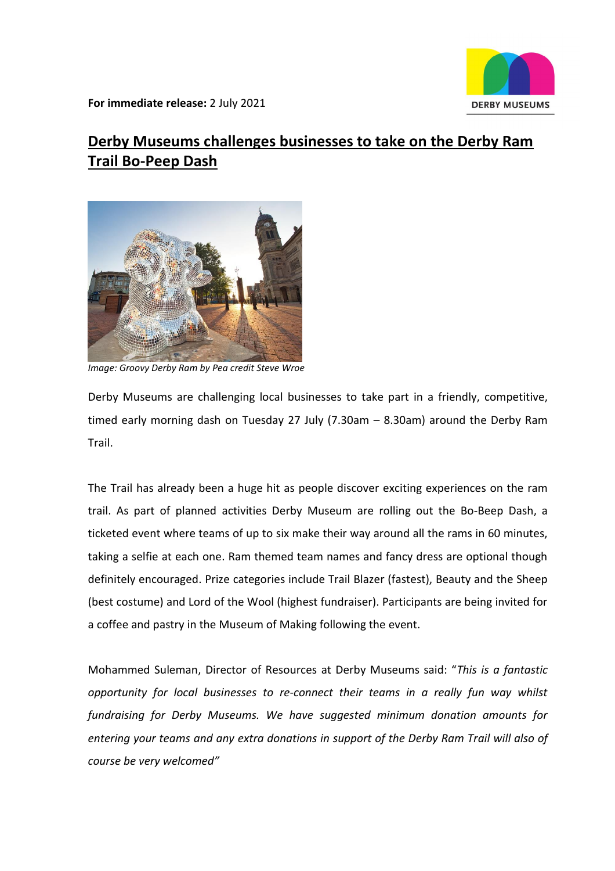

**For immediate release:** 2 July 2021

# **[Derby Museums challenges businesses to take on the Derby Ram](https://www.derbymuseums.org/news/derby-museums-challenges-businesses-to-take-on-the-derby-ram-trail-bo-peep-dash)  Trail [Bo-Peep Dash](https://www.derbymuseums.org/news/derby-museums-challenges-businesses-to-take-on-the-derby-ram-trail-bo-peep-dash)**



*Image: Groovy Derby Ram by Pea credit Steve Wroe*

Derby Museums are challenging local businesses to take part in a friendly, competitive, timed early morning dash on Tuesday 27 July (7.30am – 8.30am) around the Derby Ram Trail.

The Trail has already been a huge hit as people discover exciting experiences on the ram trail. As part of planned activities Derby Museum are rolling out the Bo-Beep Dash, a ticketed event where teams of up to six make their way around all the rams in 60 minutes, taking a selfie at each one. Ram themed team names and fancy dress are optional though definitely encouraged. Prize categories include Trail Blazer (fastest), Beauty and the Sheep (best costume) and Lord of the Wool (highest fundraiser). Participants are being invited for a coffee and pastry in the Museum of Making following the event.

Mohammed Suleman, Director of Resources at Derby Museums said: "*This is a fantastic opportunity for local businesses to re-connect their teams in a really fun way whilst fundraising for Derby Museums. We have suggested minimum donation amounts for entering your teams and any extra donations in support of the Derby Ram Trail will also of course be very welcomed"*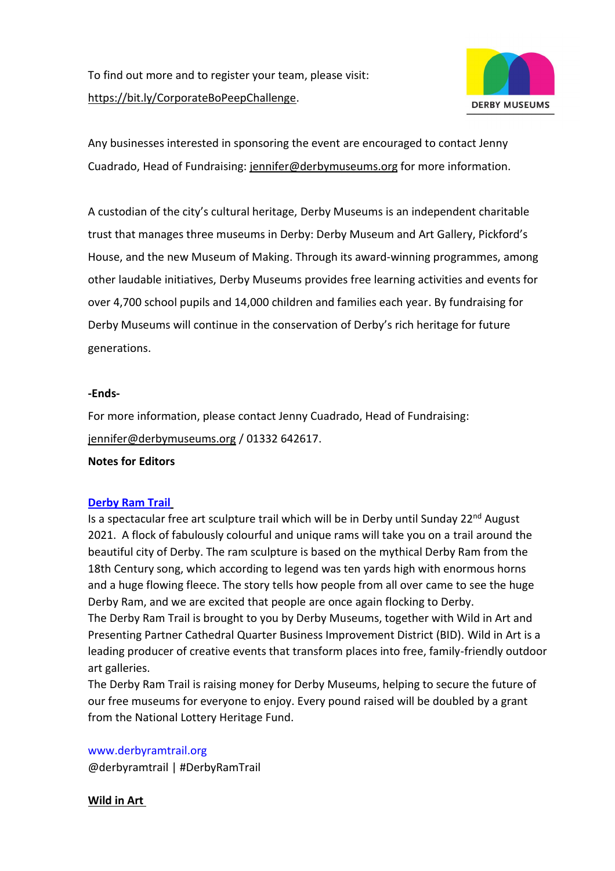

Any businesses interested in sponsoring the event are encouraged to contact Jenny Cuadrado, Head of Fundraising: [jennifer@derbymuseums.org](mailto:jennifer@derbymuseums.org) for more information.

A custodian of the city's cultural heritage, Derby Museums is an independent charitable trust that manages three museums in Derby: Derby Museum and Art Gallery, Pickford's House, and the new Museum of Making. Through its award-winning programmes, among other laudable initiatives, Derby Museums provides free learning activities and events for over 4,700 school pupils and 14,000 children and families each year. By fundraising for Derby Museums will continue in the conservation of Derby's rich heritage for future generations.

#### **-Ends-**

For more information, please contact Jenny Cuadrado, Head of Fundraising: [jennifer@derbymuseums.org](mailto:jennifer@derbymuseums.org) / 01332 642617.

#### **Notes for Editors**

#### **[Derby Ram Trail](https://www.derbyramtrail.org/)**

Is a spectacular free art sculpture trail which will be in Derby until Sunday  $22<sup>nd</sup>$  August 2021. A flock of fabulously colourful and unique rams will take you on a trail around the beautiful city of Derby. The ram sculpture is based on the mythical Derby Ram from the 18th Century song, which according to legend was ten yards high with enormous horns and a huge flowing fleece. The story tells how people from all over came to see the huge Derby Ram, and we are excited that people are once again flocking to Derby. The Derby Ram Trail is brought to you by Derby Museums, together with Wild in Art and Presenting Partner Cathedral Quarter Business Improvement District (BID). Wild in Art is a leading producer of creative events that transform places into free, family-friendly outdoor art galleries.

The Derby Ram Trail is raising money for Derby Museums, helping to secure the future of our free museums for everyone to enjoy. Every pound raised will be doubled by a grant from the National Lottery Heritage Fund.

[www.derbyramtrail.org](http://www.derbyramtrail.org/) @derbyramtrail | #DerbyRamTrail

**Wild in Art**